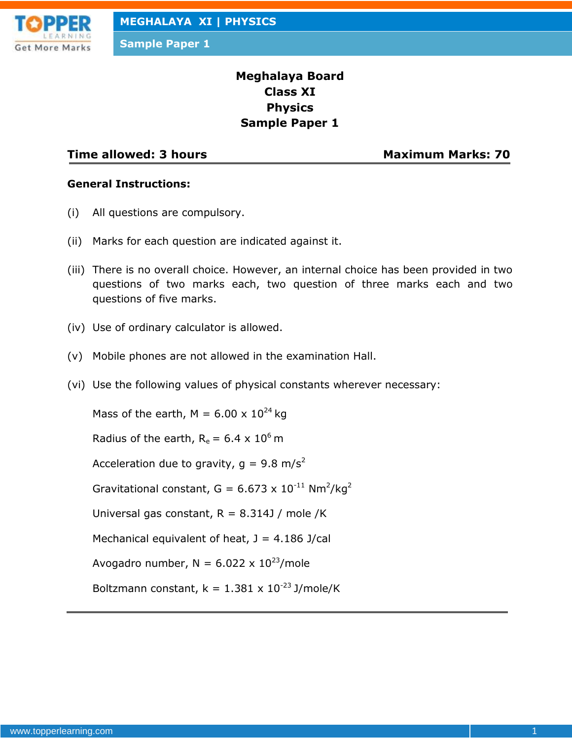

**Sample Paper 1**

# **Meghalaya Board Class XI Physics Sample Paper 1**

### **Time allowed: 3 hours Maximum Marks: 70**

#### **General Instructions:**

- (i) All questions are compulsory.
- (ii) Marks for each question are indicated against it.
- (iii) There is no overall choice. However, an internal choice has been provided in two questions of two marks each, two question of three marks each and two questions of five marks.
- (iv) Use of ordinary calculator is allowed.
- (v) Mobile phones are not allowed in the examination Hall.
- (vi) Use the following values of physical constants wherever necessary:

Mass of the earth, M =  $6.00 \times 10^{24}$  kg

Radius of the earth,  $R_e = 6.4 \times 10^6$  m

Acceleration due to gravity,  $q = 9.8$  m/s<sup>2</sup>

Gravitational constant, G = 6.673 x  $10^{-11}$  Nm<sup>2</sup>/kg<sup>2</sup>

Universal gas constant,  $R = 8.314$ J / mole /K

Mechanical equivalent of heat,  $J = 4.186$  J/cal

Avogadro number,  $N = 6.022 \times 10^{23}$ /mole

Boltzmann constant,  $k = 1.381 \times 10^{-23}$  J/mole/K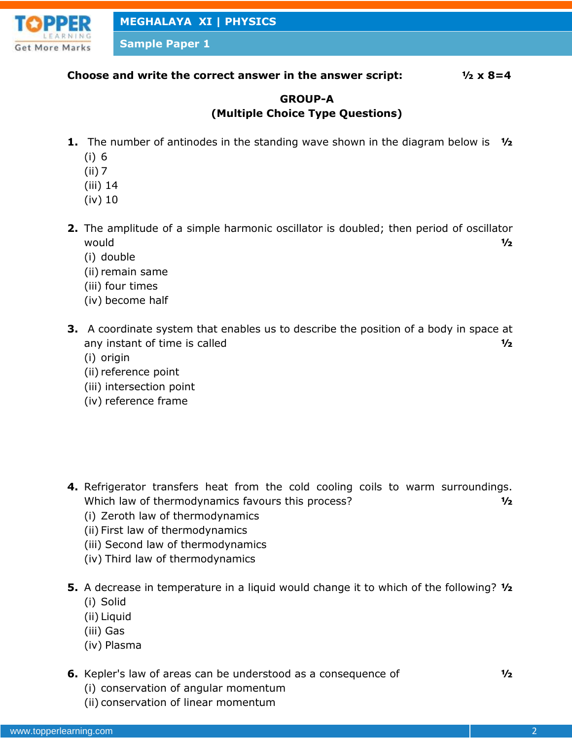

**Sample Paper 1**

### **Choose and write the correct answer in the answer script: ½ x 8=4**

# **GROUP-A (Multiple Choice Type Questions)**

- **1.** The number of antinodes in the standing wave shown in the diagram below is **½**
	- (i) 6
	- (ii) 7
	- (iii) 14
	- (iv) 10
- **2.** The amplitude of a simple harmonic oscillator is doubled; then period of oscillator would **½**
	- (i) double
	- (ii) remain same
	- (iii) four times
	- (iv) become half
- **3.** A coordinate system that enables us to describe the position of a body in space at any instant of time is called **½**
	- (i) origin
	- (ii) reference point
	- (iii) intersection point
	- (iv) reference frame
- **4.** Refrigerator transfers heat from the cold cooling coils to warm surroundings. Which law of thermodynamics favours this process? **½**
	- (i) Zeroth law of thermodynamics
	- (ii) First law of thermodynamics
	- (iii) Second law of thermodynamics
	- (iv) Third law of thermodynamics
- **5.** A decrease in temperature in a liquid would change it to which of the following? **½**
	- (i) Solid
	- (ii) Liquid
	- (iii) Gas
	- (iv) Plasma
- **6.** Kepler's law of areas can be understood as a consequence of **½**
	- (i) conservation of angular momentum
	- (ii) conservation of linear momentum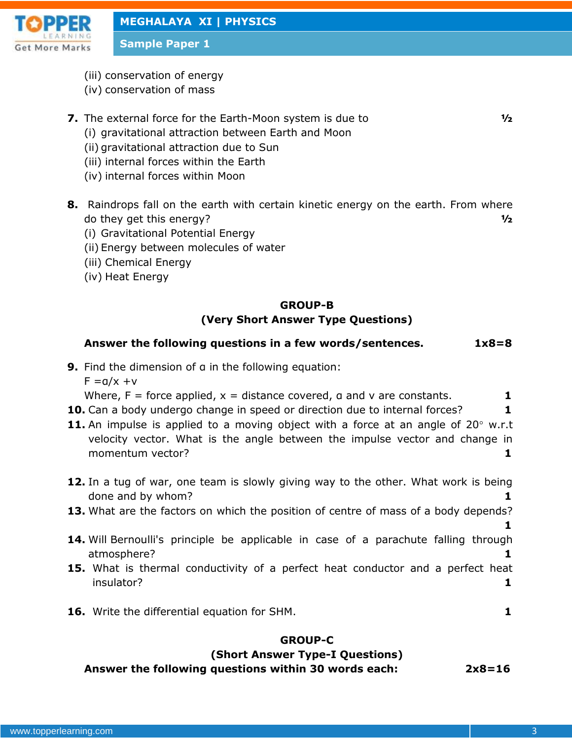

**Sample Paper 1**

- (iii) conservation of energy
- (iv) conservation of mass
- **7.** The external force for the Earth-Moon system is due to **½**
	- (i) gravitational attraction between Earth and Moon
	- (ii) gravitational attraction due to Sun
	- (iii) internal forces within the Earth
	- (iv) internal forces within Moon
- **8.** Raindrops fall on the earth with certain kinetic energy on the earth. From where do they get this energy? **½**
	- (i) Gravitational Potential Energy
	- (ii) Energy between molecules of water
	- (iii) Chemical Energy
	- (iv) Heat Energy

### **GROUP-B**

# **(Very Short Answer Type Questions)**

# **Answer the following questions in a few words/sentences. 1x8=8**

**9.** Find the dimension of a in the following equation:

 $F = a/x + v$ 

Where,  $F =$  force applied,  $x =$  distance covered,  $a$  and  $v$  are constants.  $1$ 

- **10.** Can a body undergo change in speed or direction due to internal forces? **1**
- **11.** An impulse is applied to a moving object with a force at an angle of 20° w.r.t velocity vector. What is the angle between the impulse vector and change in momentum vector? **1**
- **12.** In a tug of war, one team is slowly giving way to the other. What work is being done and by whom? **1**
- **13.** What are the factors on which the position of centre of mass of a body depends?
- **14.** Will Bernoulli's principle be applicable in case of a parachute falling through atmosphere? **1**
- **15.** What is thermal conductivity of a perfect heat conductor and a perfect heat insulator? **1**
- **16.** Write the differential equation for SHM. **1**

# **GROUP-C**

# **(Short Answer Type-I Questions)**

**Answer the following questions within 30 words each: 2x8=16**

**1**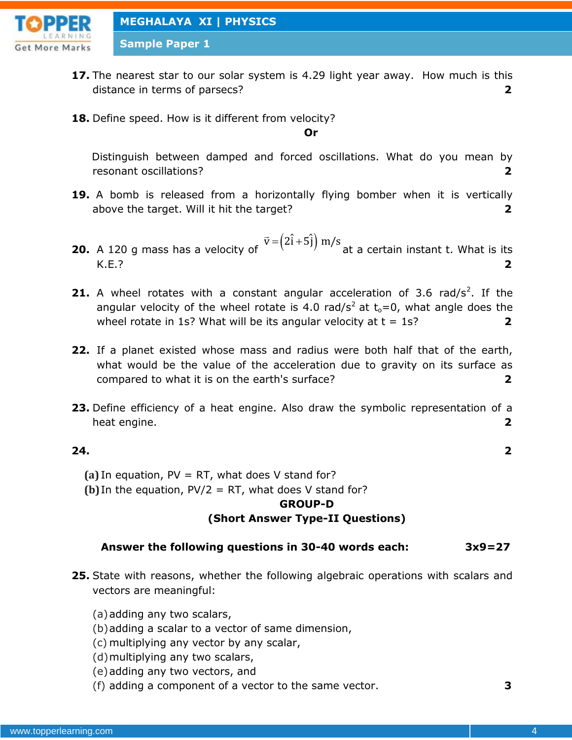

**Sample Paper 1**

- **17.** The nearest star to our solar system is 4.29 light year away. How much is this distance in terms of parsecs? **2**
- **18.** Define speed. How is it different from velocity?

#### **Or**

Distinguish between damped and forced oscillations. What do you mean by resonant oscillations? **2**

- **19.** A bomb is released from a horizontally flying bomber when it is vertically above the target. Will it hit the target? **2**
- **20.** A 120 g mass has a velocity of  $\vec{v} = (2\hat{i} + 5\hat{j})$  m/s at a certain instant t. What is its K.E.? **2**
- **21.** A wheel rotates with a constant angular acceleration of 3.6 rad/s<sup>2</sup>. If the angular velocity of the wheel rotate is 4.0 rad/s<sup>2</sup> at  $t_0=0$ , what angle does the wheel rotate in 1s? What will be its angular velocity at  $t = 1$ s?  $2$
- **22.** If a planet existed whose mass and radius were both half that of the earth, what would be the value of the acceleration due to gravity on its surface as compared to what it is on the earth's surface? **2**
- **23.** Define efficiency of a heat engine. Also draw the symbolic representation of a heat engine. **2**

#### **24. 2**

- **(a)** In equation, PV = RT, what does V stand for?
- **(b)** In the equation,  $PV/2 = RT$ , what does V stand for?

# **GROUP-D**

### **(Short Answer Type-II Questions)**

### **Answer the following questions in 30-40 words each: 3x9=27**

- **25.** State with reasons, whether the following algebraic operations with scalars and vectors are meaningful:
	- (a)adding any two scalars,
	- (b)adding a scalar to a vector of same dimension,
	- (c) multiplying any vector by any scalar,
	- (d)multiplying any two scalars,
	- (e)adding any two vectors, and
	- (f) adding a component of a vector to the same vector. **3**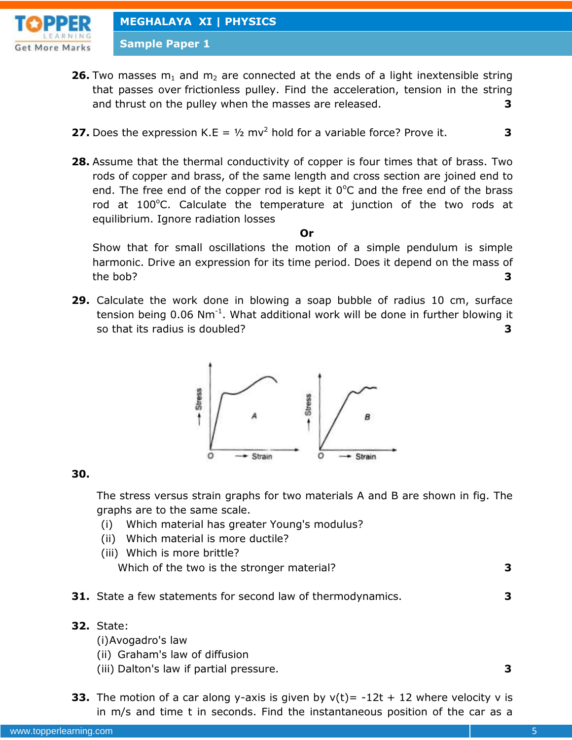

**Sample Paper 1**

- **26.** Two masses  $m_1$  and  $m_2$  are connected at the ends of a light inextensible string that passes over frictionless pulley. Find the acceleration, tension in the string and thrust on the pulley when the masses are released. **3**
- **27.** Does the expression K.E =  $\frac{1}{2}$  mv<sup>2</sup> hold for a variable force? Prove it.  $\overline{\phantom{a}}$  3
- **28.** Assume that the thermal conductivity of copper is four times that of brass. Two rods of copper and brass, of the same length and cross section are joined end to end. The free end of the copper rod is kept it  $0^{\circ}$ C and the free end of the brass rod at  $100^{\circ}$ C. Calculate the temperature at junction of the two rods at equilibrium. Ignore radiation losses

**Or**

Show that for small oscillations the motion of a simple pendulum is simple harmonic. Drive an expression for its time period. Does it depend on the mass of the bob? **3**

**29.** Calculate the work done in blowing a soap bubble of radius 10 cm, surface tension being  $0.06$  Nm<sup>-1</sup>. What additional work will be done in further blowing it so that its radius is doubled? **3**



#### **30.**

The stress versus strain graphs for two materials A and B are shown in fig. The graphs are to the same scale.

- (i) Which material has greater Young's modulus?
- (ii) Which material is more ductile?
- (iii) Which is more brittle? Which of the two is the stronger material? **3**
- **31.** State a few statements for second law of thermodynamics. **3**
- **32.** State:
	- (i)Avogadro's law
	- (ii) Graham's law of diffusion
	- (iii) Dalton's law if partial pressure. **3**
- **33.** The motion of a car along y-axis is given by  $v(t) = -12t + 12$  where velocity v is in m/s and time t in seconds. Find the instantaneous position of the car as a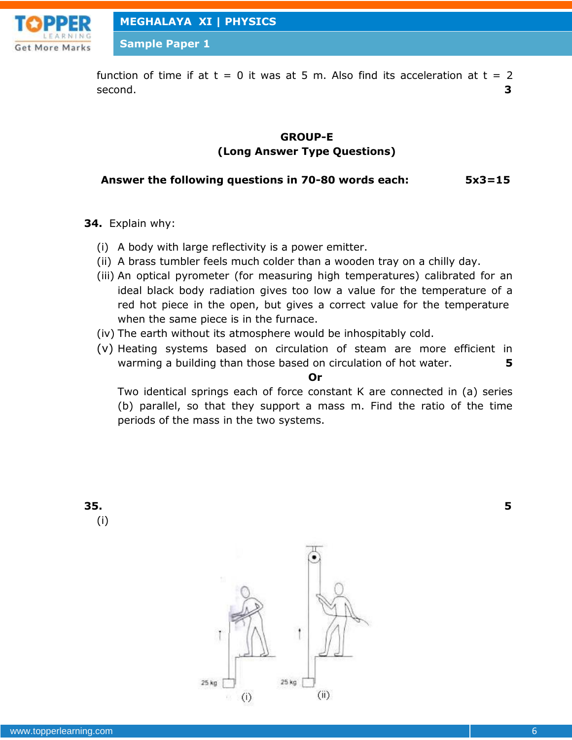

**Sample Paper 1**

function of time if at  $t = 0$  it was at 5 m. Also find its acceleration at  $t = 2$ second. **3**

## **GROUP-E (Long Answer Type Questions)**

### **Answer the following questions in 70-80 words each: 5x3=15**

- **34.** Explain why:
	- (i) A body with large reflectivity is a power emitter.
	- (ii) A brass tumbler feels much colder than a wooden tray on a chilly day.
	- (iii) An optical pyrometer (for measuring high temperatures) calibrated for an ideal black body radiation gives too low a value for the temperature of a red hot piece in the open, but gives a correct value for the temperature when the same piece is in the furnace.
	- (iv) The earth without its atmosphere would be inhospitably cold.
	- (v) Heating systems based on circulation of steam are more efficient in warming a building than those based on circulation of hot water. **5**

#### **Or**

Two identical springs each of force constant K are connected in (a) series (b) parallel, so that they support a mass m. Find the ratio of the time periods of the mass in the two systems.

**35. 5** (i)

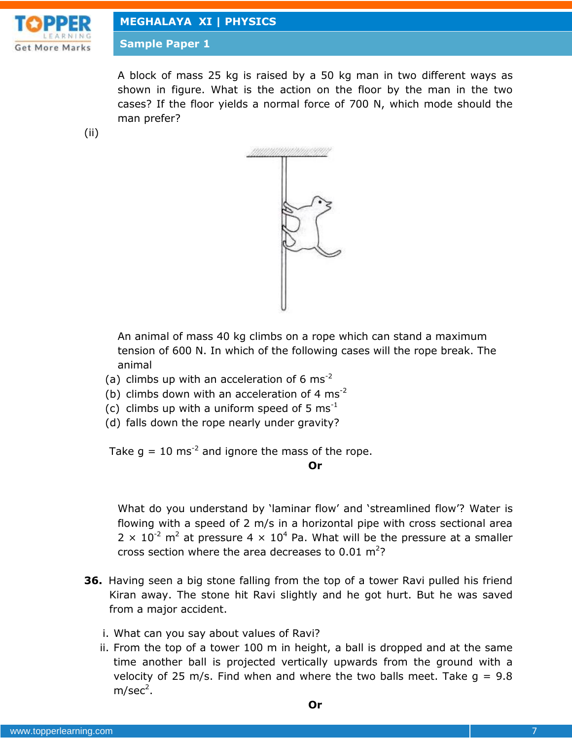

**Sample Paper 1**

A block of mass 25 kg is raised by a 50 kg man in two different ways as shown in figure. What is the action on the floor by the man in the two cases? If the floor yields a normal force of 700 N, which mode should the man prefer?

(ii)



An animal of mass 40 kg climbs on a rope which can stand a maximum tension of 600 N. In which of the following cases will the rope break. The animal

- (a) climbs up with an acceleration of 6  $\text{ms}^{-2}$
- (b) climbs down with an acceleration of 4  $\text{ms}^{-2}$
- (c) climbs up with a uniform speed of 5  $\text{ms}^{-1}$
- (d) falls down the rope nearly under gravity?

Take  $g = 10$  ms<sup>-2</sup> and ignore the mass of the rope.

**Or**

What do you understand by 'laminar flow' and 'streamlined flow'? Water is flowing with a speed of 2 m/s in a horizontal pipe with cross sectional area  $2 \times 10^{-2}$  m<sup>2</sup> at pressure 4  $\times$  10<sup>4</sup> Pa. What will be the pressure at a smaller cross section where the area decreases to  $0.01 \text{ m}^2$ ?

- **36.** Having seen a big stone falling from the top of a tower Ravi pulled his friend Kiran away. The stone hit Ravi slightly and he got hurt. But he was saved from a major accident.
	- i. What can you say about values of Ravi?
	- ii. From the top of a tower 100 m in height, a ball is dropped and at the same time another ball is projected vertically upwards from the ground with a velocity of 25 m/s. Find when and where the two balls meet. Take  $q = 9.8$ m/sec<sup>2</sup>.